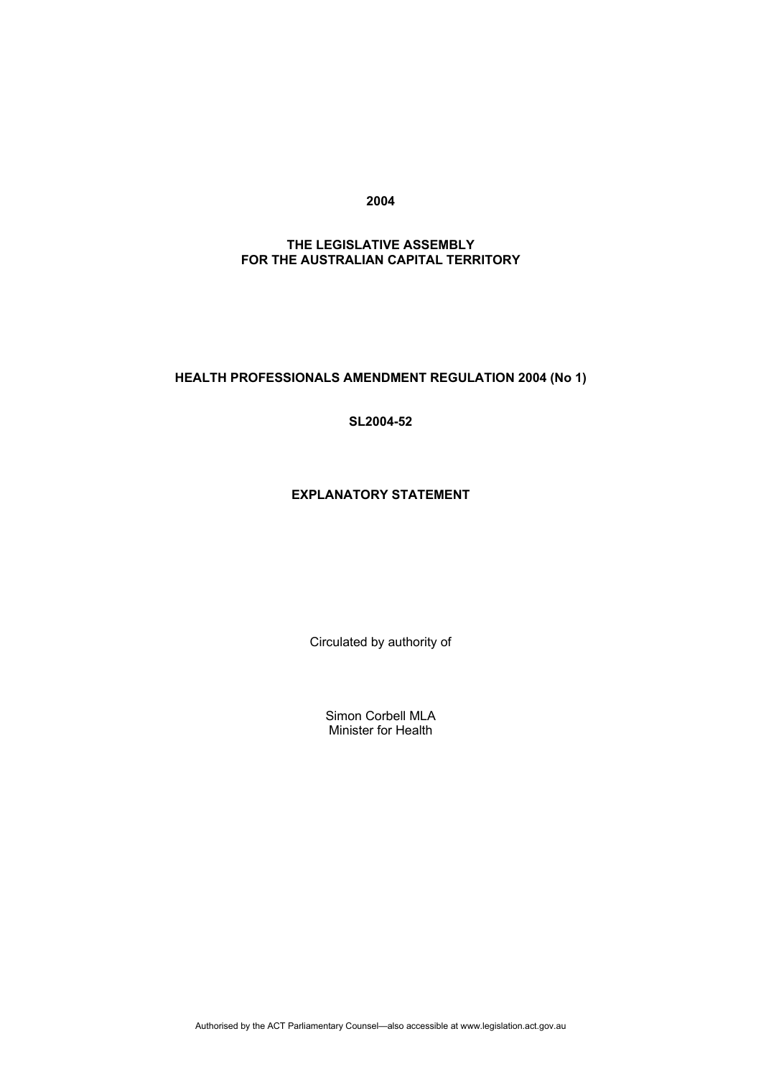**2004** 

## **THE LEGISLATIVE ASSEMBLY FOR THE AUSTRALIAN CAPITAL TERRITORY**

## **HEALTH PROFESSIONALS AMENDMENT REGULATION 2004 (No 1)**

**SL2004-52** 

## **EXPLANATORY STATEMENT**

Circulated by authority of

Simon Corbell MLA Minister for Health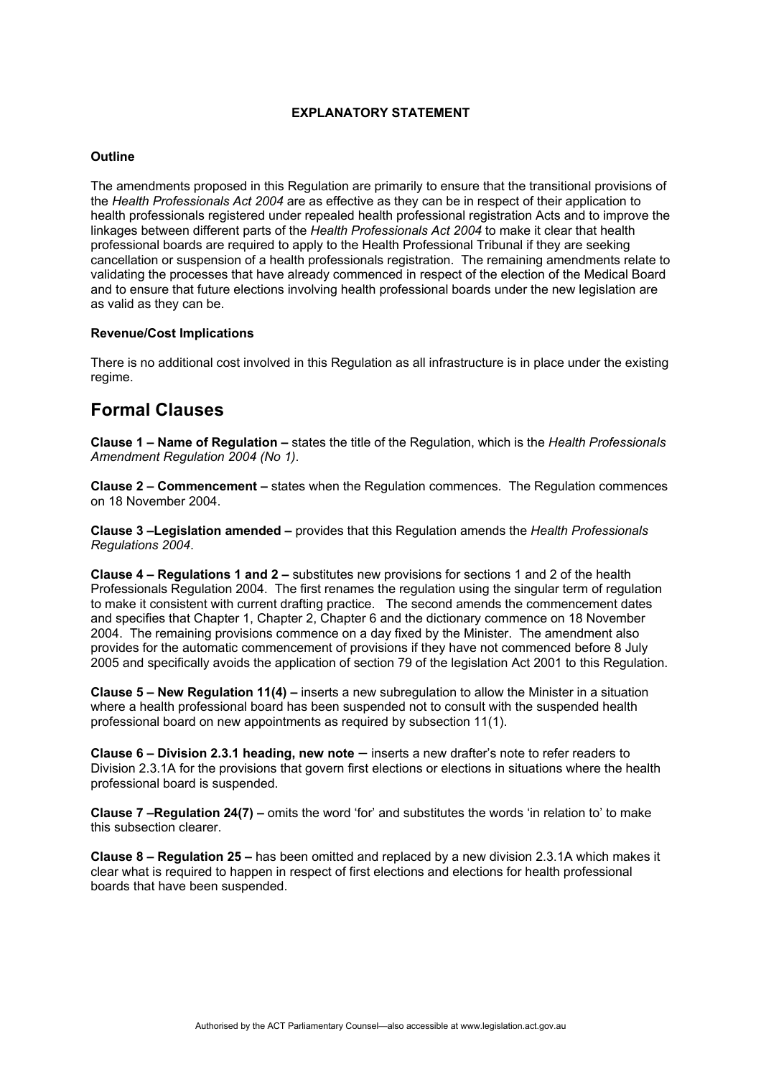### **EXPLANATORY STATEMENT**

#### **Outline**

The amendments proposed in this Regulation are primarily to ensure that the transitional provisions of the *Health Professionals Act 2004* are as effective as they can be in respect of their application to health professionals registered under repealed health professional registration Acts and to improve the linkages between different parts of the *Health Professionals Act 2004* to make it clear that health professional boards are required to apply to the Health Professional Tribunal if they are seeking cancellation or suspension of a health professionals registration. The remaining amendments relate to validating the processes that have already commenced in respect of the election of the Medical Board and to ensure that future elections involving health professional boards under the new legislation are as valid as they can be.

### **Revenue/Cost Implications**

There is no additional cost involved in this Regulation as all infrastructure is in place under the existing regime.

# **Formal Clauses**

**Clause 1 – Name of Regulation –** states the title of the Regulation, which is the *Health Professionals Amendment Regulation 2004 (No 1)*.

**Clause 2 – Commencement –** states when the Regulation commences. The Regulation commences on 18 November 2004.

**Clause 3 –Legislation amended –** provides that this Regulation amends the *Health Professionals Regulations 2004*.

**Clause 4 – Regulations 1 and 2 –** substitutes new provisions for sections 1 and 2 of the health Professionals Regulation 2004. The first renames the regulation using the singular term of regulation to make it consistent with current drafting practice. The second amends the commencement dates and specifies that Chapter 1, Chapter 2, Chapter 6 and the dictionary commence on 18 November 2004. The remaining provisions commence on a day fixed by the Minister. The amendment also provides for the automatic commencement of provisions if they have not commenced before 8 July 2005 and specifically avoids the application of section 79 of the legislation Act 2001 to this Regulation.

**Clause 5 – New Regulation 11(4) –** inserts a new subregulation to allow the Minister in a situation where a health professional board has been suspended not to consult with the suspended health professional board on new appointments as required by subsection 11(1).

**Clause 6 – Division 2.3.1 heading, new note** – inserts a new drafter's note to refer readers to Division 2.3.1A for the provisions that govern first elections or elections in situations where the health professional board is suspended.

**Clause 7 –Regulation 24(7) –** omits the word 'for' and substitutes the words 'in relation to' to make this subsection clearer.

**Clause 8 – Regulation 25 –** has been omitted and replaced by a new division 2.3.1A which makes it clear what is required to happen in respect of first elections and elections for health professional boards that have been suspended.